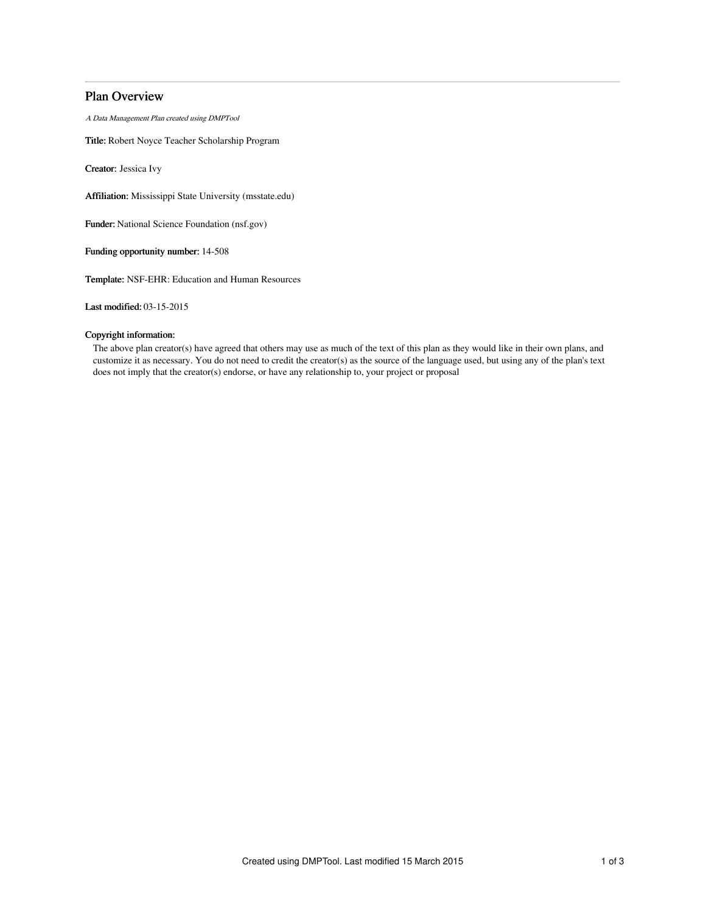# Plan Overview

A Data Management Plan created using DMPTool

Title: Robert Noyce Teacher Scholarship Program

Creator: Jessica Ivy

Affiliation: Mississippi State University (msstate.edu)

Funder: National Science Foundation (nsf.gov)

Funding opportunity number: 14-508

Template: NSF-EHR: Education and Human Resources

Last modified: 03-15-2015

# Copyright information:

The above plan creator(s) have agreed that others may use as much of the text of this plan as they would like in their own plans, and customize it as necessary. You do not need to credit the creator(s) as the source of the language used, but using any of the plan's text does not imply that the creator(s) endorse, or have any relationship to, your project or proposal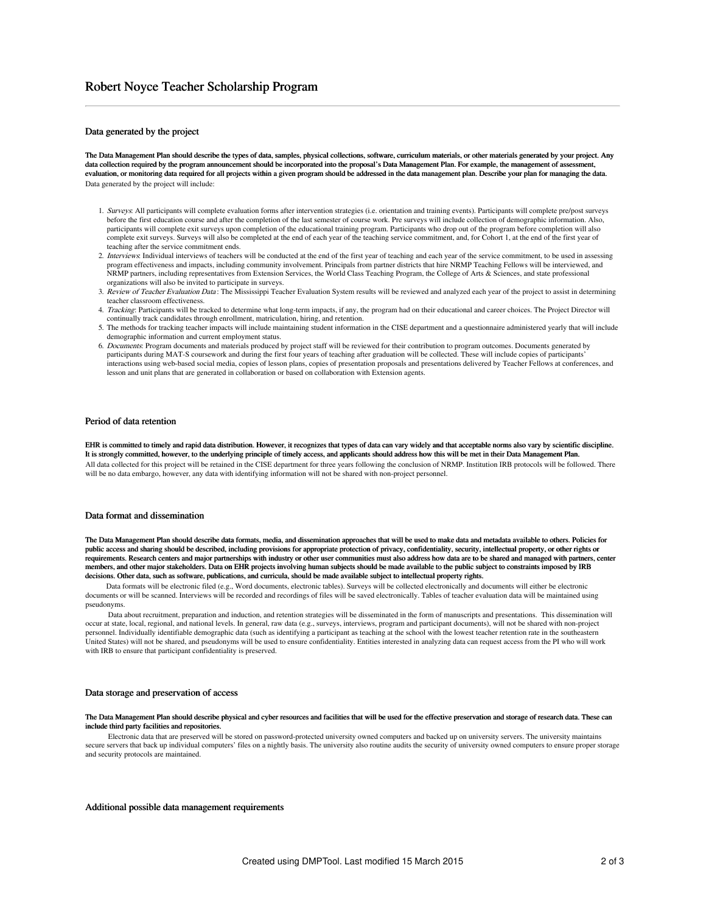## Data generated by the project

The Data Management Plan should describe the types of data, samples, physical collections, software, curriculum materials, or other materials generated by your project. Any data collection required by the program announcement should be incorporated into the proposal's Data Management Plan. For example, the management of assessment, evaluation, or monitoring data required for all projects within a given program should be addressed in the data management plan. Describe your plan for managing the data. Data generated by the project will include:

- 1. Surveys: All participants will complete evaluation forms after intervention strategies (i.e. orientation and training events). Participants will complete pre/post surveys before the first education course and after the completion of the last semester of course work. Pre surveys will include collection of demographic information. Also, participants will complete exit surveys upon completion of the educational training program. Participants who drop out of the program before completion will also complete exit surveys. Surveys will also be completed at the end of each year of the teaching service commitment, and, for Cohort 1, at the end of the first year of teaching after the service commitment ends.
- 2. Interviews: Individual interviews of teachers will be conducted at the end of the first year of teaching and each year of the service commitment, to be used in assessing program effectiveness and impacts, including community involvement. Principals from partner districts that hire NRMP Teaching Fellows will be interviewed, and NRMP partners, including representatives from Extension Services, the World Class Teaching Program, the College of Arts & Sciences, and state professional organizations will also be invited to participate in surveys.
- 3. Review of Teacher Evaluation Data: The Mississippi Teacher Evaluation System results will be reviewed and analyzed each year of the project to assist in determining teacher classroom effectiveness.
- 4. Tracking: Participants will be tracked to determine what long-term impacts, if any, the program had on their educational and career choices. The Project Director will continually track candidates through enrollment, matriculation, hiring, and retention.
- 5. The methods for tracking teacher impacts will include maintaining student information in the CISE department and a questionnaire administered yearly that will include demographic information and current employment status.
- 6. Documents: Program documents and materials produced by project staff will be reviewed for their contribution to program outcomes. Documents generated by participants during MAT-S coursework and during the first four years of teaching after graduation will be collected. These will include copies of participants' interactions using web-based social media, copies of lesson plans, copies of presentation proposals and presentations delivered by Teacher Fellows at conferences, and lesson and unit plans that are generated in collaboration or based on collaboration with Extension agents.

### Period of data retention

EHR is committed to timely and rapid data distribution. However, it recognizes that types of data can vary widely and that acceptable norms also vary by scientific discipline. It is strongly committed, however, to the underlying principle of timely access, and applicants should address how this will be met in their Data Management Plan. All data collected for this project will be retained in the CISE department for three years following the conclusion of NRMP. Institution IRB protocols will be followed. There will be no data embargo, however, any data with identifying information will not be shared with non-project personnel.

### Data format and dissemination

The Data Management Plan should describe data formats, media, and dissemination approaches that will be used to make data and metadata available to others. Policies for public access and sharing should be described, including provisions for appropriate protection of privacy, confidentiality, security, intellectual property, or other rights or requirements. Research centers and major partnerships with industry or other user communities must also address how data are to be shared and managed with partners, center members, and other major stakeholders. Data on EHR projects involving human subjects should be made available to the public subject to constraints imposed by IRB decisions. Other data, such as software, publications, and curricula, should be made available subject to intellectual property rights.

Data formats will be electronic filed (e.g., Word documents, electronic tables). Surveys will be collected electronically and documents will either be electronic documents or will be scanned. Interviews will be recorded and recordings of files will be saved electronically. Tables of teacher evaluation data will be maintained using pseudonyms.

Data about recruitment, preparation and induction, and retention strategies will be disseminated in the form of manuscripts and presentations. This dissemination will occur at state, local, regional, and national levels. In general, raw data (e.g., surveys, interviews, program and participant documents), will not be shared with non-project personnel. Individually identifiable demographic data (such as identifying a participant as teaching at the school with the lowest teacher retention rate in the southeastern United States) will not be shared, and pseudonyms will be used to ensure confidentiality. Entities interested in analyzing data can request access from the PI who will work with IRB to ensure that participant confidentiality is preserved.

### Data storage and preservation of access

#### The Data Management Plan should describe physical and cyber resources and facilities that will be used for the effective preservation and storage of research data. These can include third party facilities and repositories.

Electronic data that are preserved will be stored on password-protected university owned computers and backed up on university servers. The university maintains secure servers that back up individual computers' files on a nightly basis. The university also routine audits the security of university owned computers to ensure proper storage and security protocols are maintained.

### Additional possible data management requirements